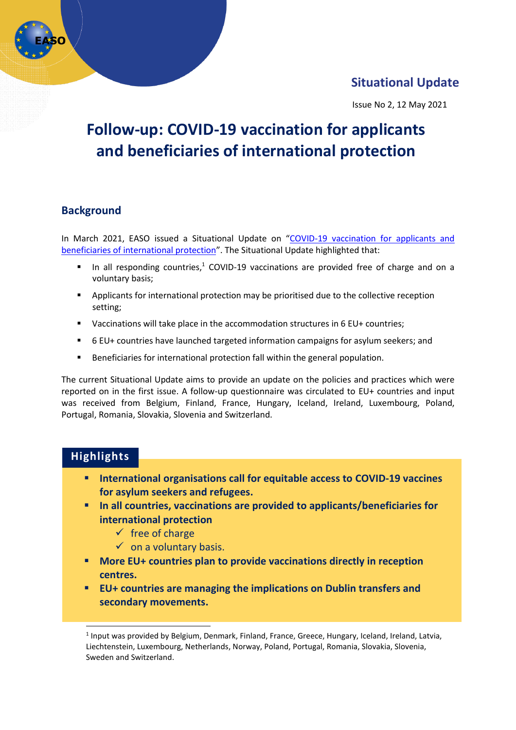# **Situational Update**

Issue No 2, 12 May 2021

# **Follow-up: COVID-19 vaccination for applicants and beneficiaries of international protection**

# **Background**

In March 2021, EASO issued a Situational Update on "COVID-19 vaccination for applicants and [beneficiaries of international protection](https://easo.europa.eu/sites/default/files/publications/EASO_Situational_Update_Vaccination31March..pdf)". The Situational Update highlighted that:

- $\blacksquare$  In all responding countries,<sup>1</sup> COVID-19 vaccinations are provided free of charge and on a voluntary basis;
- Applicants for international protection may be prioritised due to the collective reception setting;
- Vaccinations will take place in the accommodation structures in 6 EU+ countries;
- 6 EU+ countries have launched targeted information campaigns for asylum seekers; and
- Beneficiaries for international protection fall within the general population.

The current Situational Update aims to provide an update on the policies and practices which were reported on in the first issue. A follow-up questionnaire was circulated to EU+ countries and input was received from Belgium, Finland, France, Hungary, Iceland, Ireland, Luxembourg, Poland, Portugal, Romania, Slovakia, Slovenia and Switzerland.

# **Highlights**

- **International organisations call for equitable access to COVID-19 vaccines for asylum seekers and refugees.**
- **In all countries, vaccinations are provided to applicants/beneficiaries for international protection**
	- $\checkmark$  free of charge
	- $\checkmark$  on a voluntary basis.
- **More EU+ countries plan to provide vaccinations directly in reception centres.**
- **EU+ countries are managing the implications on Dublin transfers and secondary movements.**

<sup>&</sup>lt;sup>1</sup> Input was provided by Belgium, Denmark, Finland, France, Greece, Hungary, Iceland, Ireland, Latvia, Liechtenstein, Luxembourg, Netherlands, Norway, Poland, Portugal, Romania, Slovakia, Slovenia, Sweden and Switzerland.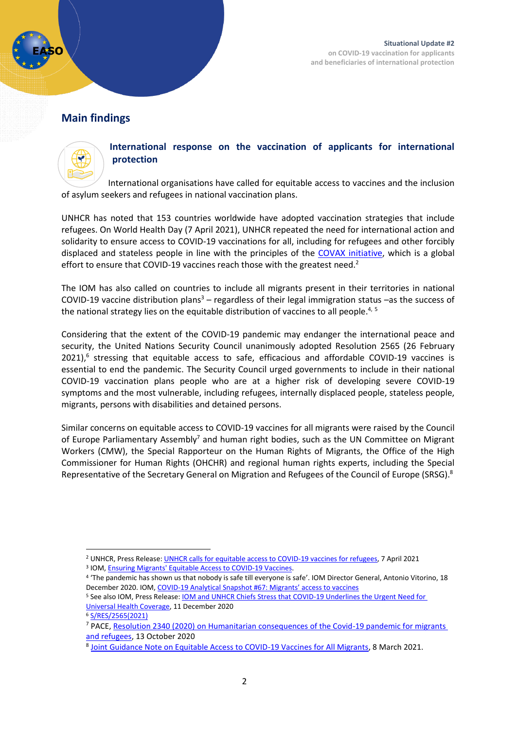

# **Main findings**



#### **International response on the vaccination of applicants for international protection**

International organisations have called for equitable access to vaccines and the inclusion of asylum seekers and refugees in national vaccination plans.

UNHCR has noted that 153 countries worldwide have adopted vaccination strategies that include refugees. On World Health Day (7 April 2021), UNHCR repeated the need for international action and solidarity to ensure access to COVID-19 vaccinations for all, including for refugees and other forcibly displaced and stateless people in line with the principles of the [COVAX initiative,](https://www.who.int/initiatives/act-accelerator/covax) which is a global effort to ensure that COVID-19 vaccines reach those with the greatest need.<sup>2</sup>

The IOM has also called on countries to include all migrants present in their territories in national COVID-19 vaccine distribution plans<sup>3</sup> – regardless of their legal immigration status –as the success of the national strategy lies on the equitable distribution of vaccines to all people.<sup>4, 5</sup>

Considering that the extent of the COVID-19 pandemic may endanger the international peace and security, the United Nations Security Council unanimously adopted Resolution 2565 (26 February 2021),<sup>6</sup> stressing that equitable access to safe, efficacious and affordable COVID-19 vaccines is essential to end the pandemic. The Security Council urged governments to include in their national COVID-19 vaccination plans people who are at a higher risk of developing severe COVID-19 symptoms and the most vulnerable, including refugees, internally displaced people, stateless people, migrants, persons with disabilities and detained persons.

Similar concerns on equitable access to COVID-19 vaccines for all migrants were raised by the Council of Europe Parliamentary Assembly<sup>7</sup> and human right bodies, such as the UN Committee on Migrant Workers (CMW), the Special Rapporteur on the Human Rights of Migrants, the Office of the High Commissioner for Human Rights (OHCHR) and regional human rights experts, including the Special Representative of the Secretary General on Migration and Refugees of the Council of Europe (SRSG).<sup>8</sup>

<sup>&</sup>lt;sup>2</sup> UNHCR, Press Release[: UNHCR calls for equitable access to COVID-19 vaccines for refugees,](https://www.unhcr.org/news/press/2021/4/606d56564.html) 7 April 2021

<sup>&</sup>lt;sup>3</sup> IOM, **Ensuring Migrants' Equitable Access to COVID-19 Vaccines.** 

<sup>4</sup> 'The pandemic has shown us that nobody is safe till everyone is safe'. IOM Director General, Antonio Vitorino, 18 December 2020. IOM, COVID-[19 Analytical Snapshot #67: Migrants' access to vaccines](https://www.iom.int/sites/default/files/documents/covid-19_analytical_snapshot_67_migrants_access_to_vaccines.pdf)

<sup>5</sup> See also IOM, Press Release: [IOM and UNHCR Chiefs Stress that COVID-19 Underlines the Urgent Need for](https://www.iom.int/news/iom-and-unhcr-chiefs-stress-covid-19-underlines-urgent-need-universal-health-coverage)  [Universal Health Coverage,](https://www.iom.int/news/iom-and-unhcr-chiefs-stress-covid-19-underlines-urgent-need-universal-health-coverage) 11 December 2020

<sup>6</sup> [S/RES/2565\(2021\)](https://undocs.org/en/S/RES/2565(2021))

<sup>7</sup> PACE, Resolution 2340 (2020) [on Humanitarian consequences of the Covid-19 pandemic for migrants](https://pace.coe.int/en/files/28776/html)  [and refugees,](https://pace.coe.int/en/files/28776/html) 13 October 2020

<sup>&</sup>lt;sup>8</sup> [Joint Guidance Note on Equitable Access to COVID-19 Vaccines for All Migrants,](https://www.ohchr.org/Documents/Issues/Migration/JointGuidanceNoteCOVID-19-Vaccines-for-Migrants.pdf) 8 March 2021.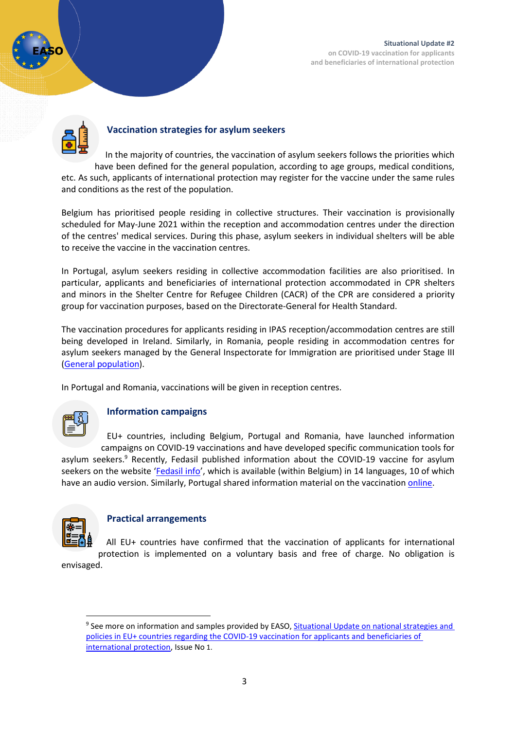

### **Vaccination strategies for asylum seekers**

In the majority of countries, the vaccination of asylum seekers follows the priorities which have been defined for the general population, according to age groups, medical conditions, etc. As such, applicants of international protection may register for the vaccine under the same rules and conditions as the rest of the population.

Belgium has prioritised people residing in collective structures. Their vaccination is provisionally scheduled for May-June 2021 within the reception and accommodation centres under the direction of the centres' medical services. During this phase, asylum seekers in individual shelters will be able to receive the vaccine in the vaccination centres.

In Portugal, asylum seekers residing in collective accommodation facilities are also prioritised. In particular, applicants and beneficiaries of international protection accommodated in CPR shelters and minors in the Shelter Centre for Refugee Children (CACR) of the CPR are considered a priority group for vaccination purposes, based on the Directorate-General for Health Standard.

The vaccination procedures for applicants residing in IPAS reception/accommodation centres are still being developed in Ireland. Similarly, in Romania, people residing in accommodation centres for asylum seekers managed by the General Inspectorate for Immigration are prioritised under Stage III [\(General population\)](https://vaccinare-covid.gov.ro/vaccinarea-sars-cov-2/procesul-de-vaccinare-in-romania/).

In Portugal and Romania, vaccinations will be given in reception centres.



#### **Information campaigns**

EU+ countries, including Belgium, Portugal and Romania, have launched information campaigns on COVID-19 vaccinations and have developed specific communication tools for asylum seekers.<sup>9</sup> Recently, Fedasil published information about the COVID-19 vaccine for asylum seekers on the website '[Fedasil info](https://www.facebook.com/Fedasil/?__cft__%5b0%5d=AZUNCtWgEMvQ8adRVo469NUaPKZRZjeEwItYZq2Rsy_hT1N09RhKn-ljA0nOrD1pld9EwbF072WhoFbxmc63N7Coh1Mrodke63awTO2agCwoDsiAQQfcqb4vsf01rTc7xX7GG6NgnL1kmlWZ1QFd6iDi&__tn__=kK-R)', which is available (within Belgium) in 14 languages, 10 of which have an audio version. Similarly, Portugal shared information material on the vaccination [online.](https://www.acm.gov.pt/-/covid-19-medidas-orientacoes-e-recomendacoes)



#### **Practical arrangements**

All EU+ countries have confirmed that the vaccination of applicants for international protection is implemented on a voluntary basis and free of charge. No obligation is envisaged.

<sup>&</sup>lt;sup>9</sup> See more on information and samples provided by EASO, **Situational Update on national strategies and** policies in EU+ countries regarding [the COVID-19 vaccination](file:///C:/Users/frostka/AppData/Local/Microsoft/Windows/INetCache/Content.Outlook/AppData/Local/Microsoft/Windows/INetCache/Content.Outlook/AppData/Local/Microsoft/Windows/INetCache/maczyja/AppData/Local/Microsoft/Windows/INetCache/Content.Outlook/932BA170/lications/EASO_Situational_Update_Vaccination31March..pdf) for applicants and beneficiaries of [international protection,](file:///C:/Users/frostka/AppData/Local/Microsoft/Windows/INetCache/Content.Outlook/AppData/Local/Microsoft/Windows/INetCache/Content.Outlook/AppData/Local/Microsoft/Windows/INetCache/maczyja/AppData/Local/Microsoft/Windows/INetCache/Content.Outlook/932BA170/lications/EASO_Situational_Update_Vaccination31March..pdf) Issue No 1.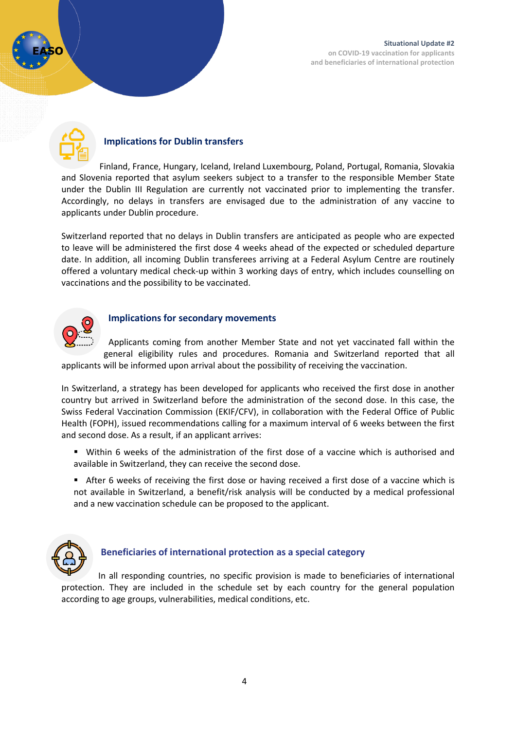

# **Implications for Dublin transfers**

Finland, France, Hungary, Iceland, Ireland Luxembourg, Poland, Portugal, Romania, Slovakia and Slovenia reported that asylum seekers subject to a transfer to the responsible Member State under the Dublin III Regulation are currently not vaccinated prior to implementing the transfer. Accordingly, no delays in transfers are envisaged due to the administration of any vaccine to applicants under Dublin procedure.

Switzerland reported that no delays in Dublin transfers are anticipated as people who are expected to leave will be administered the first dose 4 weeks ahead of the expected or scheduled departure date. In addition, all incoming Dublin transferees arriving at a Federal Asylum Centre are routinely offered a voluntary medical check-up within 3 working days of entry, which includes counselling on vaccinations and the possibility to be vaccinated.



### **Implications for secondary movements**

Applicants coming from another Member State and not yet vaccinated fall within the general eligibility rules and procedures. Romania and Switzerland reported that all applicants will be informed upon arrival about the possibility of receiving the vaccination.

In Switzerland, a strategy has been developed for applicants who received the first dose in another country but arrived in Switzerland before the administration of the second dose. In this case, the Swiss Federal Vaccination Commission (EKIF/CFV), in collaboration with the Federal Office of Public Health (FOPH), issued recommendations calling for a maximum interval of 6 weeks between the first and second dose. As a result, if an applicant arrives:

- Within 6 weeks of the administration of the first dose of a vaccine which is authorised and available in Switzerland, they can receive the second dose.
- After 6 weeks of receiving the first dose or having received a first dose of a vaccine which is not available in Switzerland, a benefit/risk analysis will be conducted by a medical professional and a new vaccination schedule can be proposed to the applicant.



#### **Beneficiaries of international protection as a special category**

In all responding countries, no specific provision is made to beneficiaries of international protection. They are included in the schedule set by each country for the general population according to age groups, vulnerabilities, medical conditions, etc.